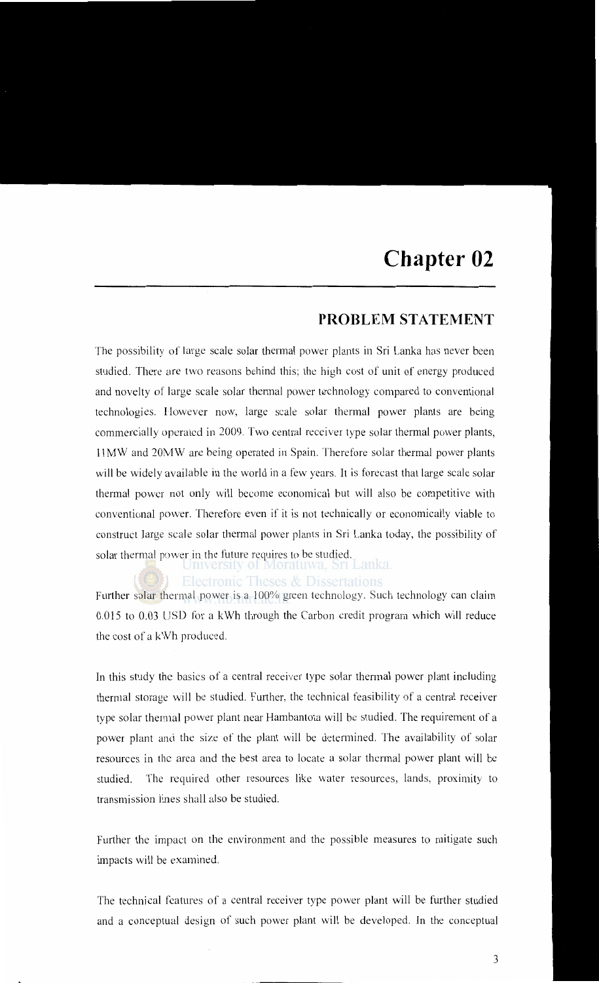## **PROBLEM STATEMENT**

The possibility of large scale solar thermal power plants in Sri Lanka has never been studied. There are two reasons behind this; the high cost of unit of energy produced and novelty of large scale solar thermal power technology compared to conventional technologies. However now, large scale solar thermal power plants are being commercially operated in 2009. Two central receiver type solar thermal power plants, 11 MW and 20MW are being operated in Spain. Therefore solar thermal power plants will be widely available in the world in a few years. lt is forecast that large scale solar thermal power not only will become economical but will also be competitive with conventional power. Therefore even if it is not technically or economically viable to construct large scale solar thermal power plants in Sri Lanka today, the possibility of solar thermal power in the future requires to be studied.<br>In Lanka.

## Electronic Theses & Dissertations

Further solar thermal power is a 100% green technology. Such technology can claim 0.015 to 0.03 USD for a kWh through the Carbon credit program which will reduce the cost of a kWh produced.

In this study the basics of a central receiver type solar thermal power plant including thermal storage will be studied. Further, the technical feasibility of a central receiver type solar thermal power plant near Hambantota will be studied. The requirement of a power plant and the size of the plant will be determined. The availability of solar resources in the area and the best area to locate a solar thermal power plant will be studied. The required other resources like water resources, lands, proximity to transmission lines shall also be studied.

Further the impact on the environment and the possible measures to mitigate such impacts will be examined.

The technical features of a central receiver type power plant will be further studied and a conceptual design of such power plant will be developed. In the conceptual